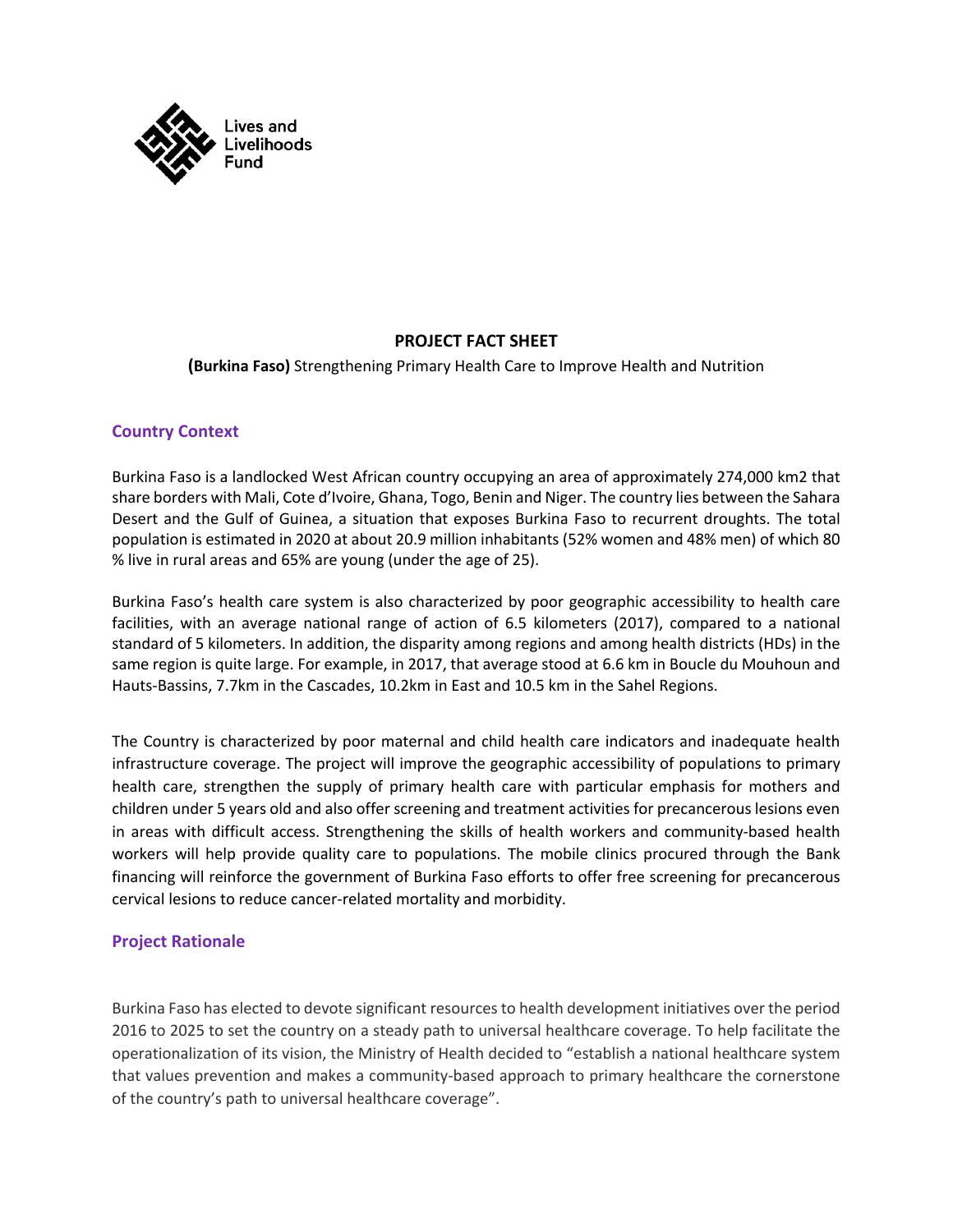

# **PROJECT FACT SHEET**

**(Burkina Faso)** Strengthening Primary Health Care to Improve Health and Nutrition

# **Country Context**

Burkina Faso is a landlocked West African country occupying an area of approximately 274,000 km2 that share borders with Mali, Cote d'Ivoire, Ghana, Togo, Benin and Niger. The country lies between the Sahara Desert and the Gulf of Guinea, a situation that exposes Burkina Faso to recurrent droughts. The total population is estimated in 2020 at about 20.9 million inhabitants (52% women and 48% men) of which 80 % live in rural areas and 65% are young (under the age of 25).

Burkina Faso's health care system is also characterized by poor geographic accessibility to health care facilities, with an average national range of action of 6.5 kilometers (2017), compared to a national standard of 5 kilometers. In addition, the disparity among regions and among health districts (HDs) in the same region is quite large. For example, in 2017, that average stood at 6.6 km in Boucle du Mouhoun and Hauts-Bassins, 7.7km in the Cascades, 10.2km in East and 10.5 km in the Sahel Regions.

The Country is characterized by poor maternal and child health care indicators and inadequate health infrastructure coverage. The project will improve the geographic accessibility of populations to primary health care, strengthen the supply of primary health care with particular emphasis for mothers and children under 5 years old and also offer screening and treatment activities for precancerous lesions even in areas with difficult access. Strengthening the skills of health workers and community-based health workers will help provide quality care to populations. The mobile clinics procured through the Bank financing will reinforce the government of Burkina Faso efforts to offer free screening for precancerous cervical lesions to reduce cancer-related mortality and morbidity.

# **Project Rationale**

Burkina Faso has elected to devote significant resources to health development initiatives over the period 2016 to 2025 to set the country on a steady path to universal healthcare coverage. To help facilitate the operationalization of its vision, the Ministry of Health decided to "establish a national healthcare system that values prevention and makes a community-based approach to primary healthcare the cornerstone of the country's path to universal healthcare coverage".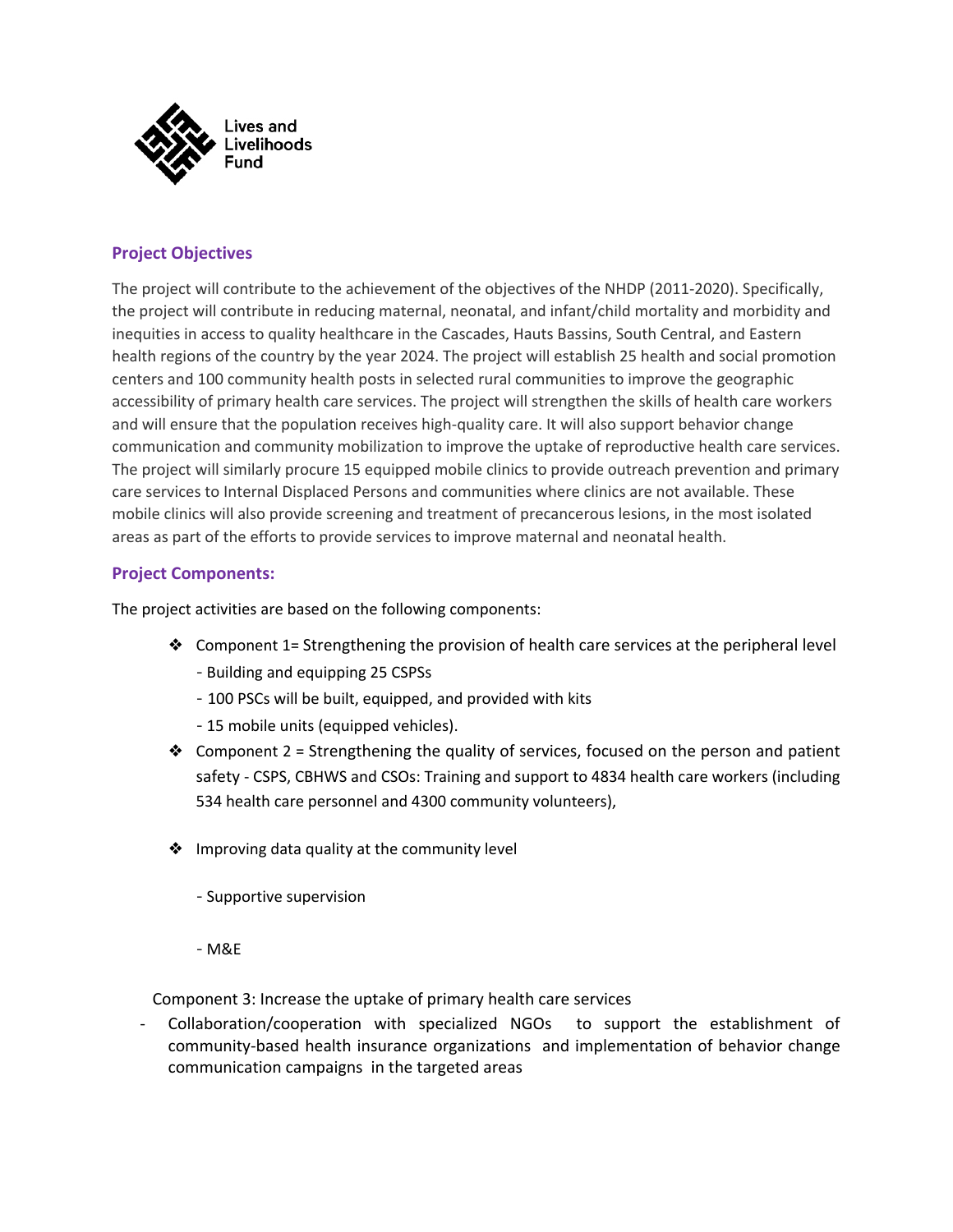

# **Project Objectives**

The project will contribute to the achievement of the objectives of the NHDP (2011-2020). Specifically, the project will contribute in reducing maternal, neonatal, and infant/child mortality and morbidity and inequities in access to quality healthcare in the Cascades, Hauts Bassins, South Central, and Eastern health regions of the country by the year 2024. The project will establish 25 health and social promotion centers and 100 community health posts in selected rural communities to improve the geographic accessibility of primary health care services. The project will strengthen the skills of health care workers and will ensure that the population receives high-quality care. It will also support behavior change communication and community mobilization to improve the uptake of reproductive health care services. The project will similarly procure 15 equipped mobile clinics to provide outreach prevention and primary care services to Internal Displaced Persons and communities where clinics are not available. These mobile clinics will also provide screening and treatment of precancerous lesions, in the most isolated areas as part of the efforts to provide services to improve maternal and neonatal health.

### **Project Components:**

The project activities are based on the following components:

- ❖ Component 1= Strengthening the provision of health care services at the peripheral level - Building and equipping 25 CSPSs
	- 100 PSCs will be built, equipped, and provided with kits
	- 15 mobile units (equipped vehicles).
- ◆ Component 2 = Strengthening the quality of services, focused on the person and patient safety - CSPS, CBHWS and CSOs: Training and support to 4834 health care workers (including 534 health care personnel and 4300 community volunteers),
- ❖ Improving data quality at the community level
	- Supportive supervision
	- M&E

Component 3: Increase the uptake of primary health care services

- Collaboration/cooperation with specialized NGOs to support the establishment of community-based health insurance organizations and implementation of behavior change communication campaigns in the targeted areas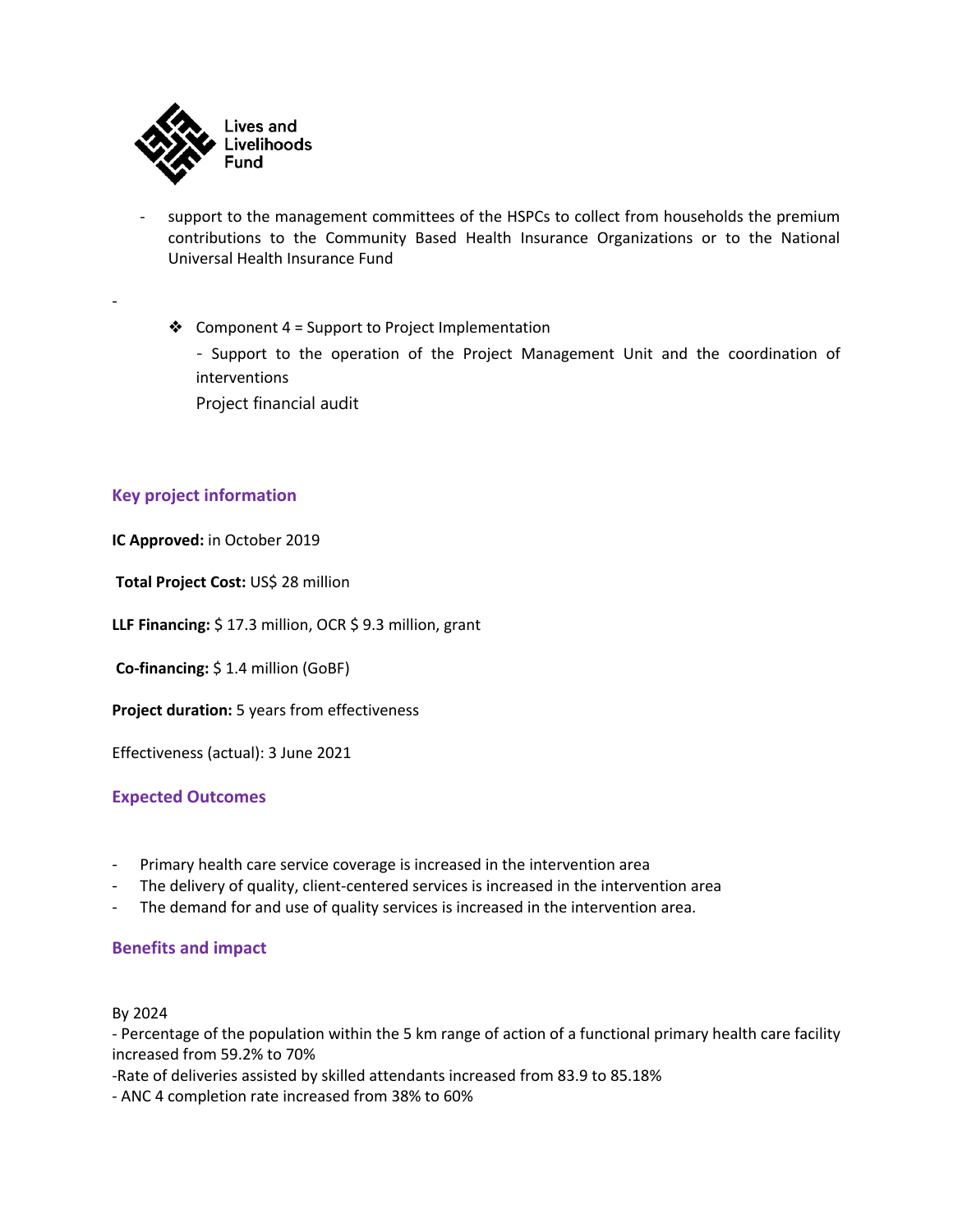

- support to the management committees of the HSPCs to collect from households the premium contributions to the Community Based Health Insurance Organizations or to the National Universal Health Insurance Fund
	- ❖ Component 4 = Support to Project Implementation - Support to the operation of the Project Management Unit and the coordination of interventions Project financial audit

### **Key project information**

-

**IC Approved:** in October 2019

**Total Project Cost:** US\$ 28 million

**LLF Financing:** \$ 17.3 million, OCR \$ 9.3 million, grant

**Co-financing:** \$ 1.4 million (GoBF)

**Project duration:** 5 years from effectiveness

Effectiveness (actual): 3 June 2021

#### **Expected Outcomes**

- Primary health care service coverage is increased in the intervention area
- The delivery of quality, client-centered services is increased in the intervention area
- The demand for and use of quality services is increased in the intervention area.

#### **Benefits and impact**

#### By 2024

- Percentage of the population within the 5 km range of action of a functional primary health care facility increased from 59.2% to 70%

-Rate of deliveries assisted by skilled attendants increased from 83.9 to 85.18%

- ANC 4 completion rate increased from 38% to 60%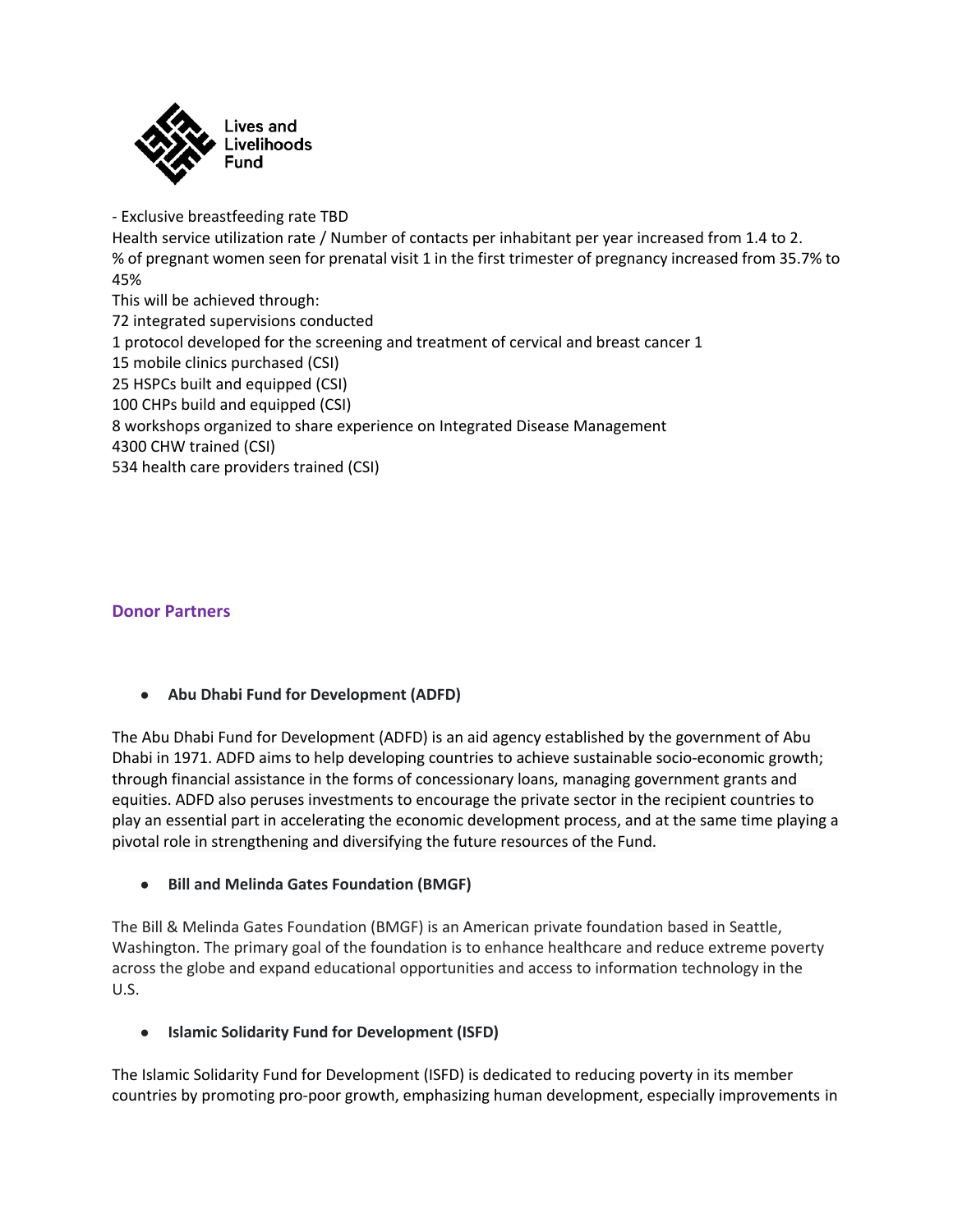

 - Exclusive breastfeeding rate TBD Health service utilization rate / Number of contacts per inhabitant per year increased from 1.4 to 2. % of pregnant women seen for prenatal visit 1 in the first trimester of pregnancy increased from 35.7% to 45% This will be achieved through: 72 integrated supervisions conducted 1 protocol developed for the screening and treatment of cervical and breast cancer 1 15 mobile clinics purchased (CSI) 25 HSPCs built and equipped (CSI) 100 CHPs build and equipped (CSI) 8 workshops organized to share experience on Integrated Disease Management 4300 CHW trained (CSI) 534 health care providers trained (CSI)

# **Donor Partners**

#### ● **Abu Dhabi Fund for Development (ADFD)**

The Abu Dhabi Fund for Development (ADFD) is an aid agency established by the government of Abu Dhabi in 1971. ADFD aims to help developing countries to achieve sustainable socio-economic growth; through financial assistance in the forms of concessionary loans, managing government grants and equities. ADFD also peruses investments to encourage the private sector in the recipient countries to play an essential part in accelerating the economic development process, and at the same time playing a pivotal role in strengthening and diversifying the future resources of the Fund.

● **Bill and Melinda Gates Foundation (BMGF)**

The Bill & Melinda Gates Foundation (BMGF) is an American private foundation based in Seattle, Washington. The primary goal of the foundation is to enhance healthcare and reduce extreme poverty across the globe and expand educational opportunities and access to information technology in the U.S.

● **Islamic Solidarity Fund for Development (ISFD)**

The Islamic Solidarity Fund for Development (ISFD) is dedicated to reducing poverty in its member countries by promoting pro-poor growth, emphasizing human development, especially improvements in